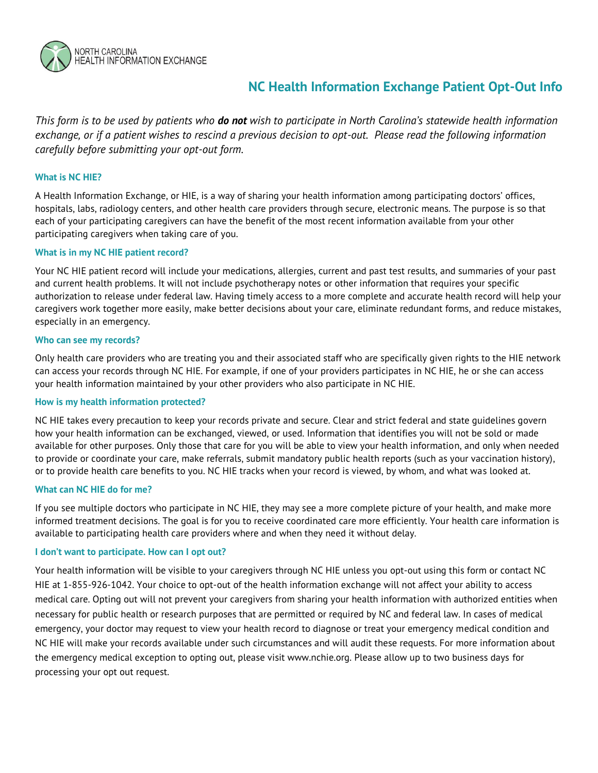

# **NC Health Information Exchange Patient Opt-Out Info**

*This form is to be used by patients who do not wish to participate in North Carolina's statewide health information exchange, or if a patient wishes to rescind a previous decision to opt-out. Please read the following information carefully before submitting your opt-out form.*

## **What is NC HIE?**

A Health Information Exchange, or HIE, is a way of sharing your health information among participating doctors' offices, hospitals, labs, radiology centers, and other health care providers through secure, electronic means. The purpose is so that each of your participating caregivers can have the benefit of the most recent information available from your other participating caregivers when taking care of you.

## **What is in my NC HIE patient record?**

Your NC HIE patient record will include your medications, allergies, current and past test results, and summaries of your past and current health problems. It will not include psychotherapy notes or other information that requires your specific authorization to release under federal law. Having timely access to a more complete and accurate health record will help your caregivers work together more easily, make better decisions about your care, eliminate redundant forms, and reduce mistakes, especially in an emergency.

#### **Who can see my records?**

Only health care providers who are treating you and their associated staff who are specifically given rights to the HIE network can access your records through NC HIE. For example, if one of your providers participates in NC HIE, he or she can access your health information maintained by your other providers who also participate in NC HIE.

## **How is my health information protected?**

NC HIE takes every precaution to keep your records private and secure. Clear and strict federal and state guidelines govern how your health information can be exchanged, viewed, or used. Information that identifies you will not be sold or made available for other purposes. Only those that care for you will be able to view your health information, and only when needed to provide or coordinate your care, make referrals, submit mandatory public health reports (such as your vaccination history), or to provide health care benefits to you. NC HIE tracks when your record is viewed, by whom, and what was looked at.

#### **What can NC HIE do for me?**

If you see multiple doctors who participate in NC HIE, they may see a more complete picture of your health, and make more informed treatment decisions. The goal is for you to receive coordinated care more efficiently. Your health care information is available to participating health care providers where and when they need it without delay.

#### **I don't want to participate. How can I opt out?**

Your health information will be visible to your caregivers through NC HIE unless you opt-out using this form or contact NC HIE at 1-855-926-1042. Your choice to opt-out of the health information exchange will not affect your ability to access medical care. Opting out will not prevent your caregivers from sharing your health information with authorized entities when necessary for public health or research purposes that are permitted or required by NC and federal law. In cases of medical emergency, your doctor may request to view your health record to diagnose or treat your emergency medical condition and NC HIE will make your records available under such circumstances and will audit these requests. For more information about the emergency medical exception to opting out, please visit www.nchie.org. Please allow up to two business days for processing your opt out request.